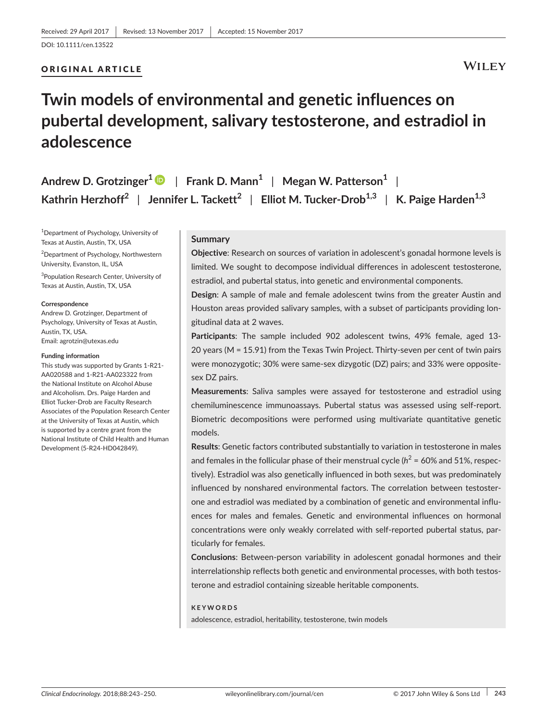## ORIGINAL ARTICLE

# **WILEY**

# **Twin models of environmental and genetic influences on pubertal development, salivary testosterone, and estradiol in adolescence**

| Andrew D. Grotzinger <sup>1</sup> $\bullet$   Frank D. Mann <sup>1</sup>   Megan W. Patterson <sup>1</sup>                               |  |
|------------------------------------------------------------------------------------------------------------------------------------------|--|
| Kathrin Herzhoff <sup>2</sup>   Jennifer L. Tackett <sup>2</sup>   Elliot M. Tucker-Drob <sup>1,3</sup>   K. Paige Harden <sup>1,3</sup> |  |

1 Department of Psychology, University of Texas at Austin, Austin, TX, USA

2 Department of Psychology, Northwestern University, Evanston, IL, USA

3 Population Research Center, University of Texas at Austin, Austin, TX, USA

#### **Correspondence**

Andrew D. Grotzinger, Department of Psychology, University of Texas at Austin, Austin, TX, USA. Email: [agrotzin@utexas.edu](mailto:agrotzin@utexas.edu)

#### **Funding information**

This study was supported by Grants 1-R21- AA020588 and 1-R21-AA023322 from the National Institute on Alcohol Abuse and Alcoholism. Drs. Paige Harden and Elliot Tucker-Drob are Faculty Research Associates of the Population Research Center at the University of Texas at Austin, which is supported by a centre grant from the National Institute of Child Health and Human Development (5-R24-HD042849).

#### **Summary**

**Objective**: Research on sources of variation in adolescent's gonadal hormone levels is limited. We sought to decompose individual differences in adolescent testosterone, estradiol, and pubertal status, into genetic and environmental components.

**Design**: A sample of male and female adolescent twins from the greater Austin and Houston areas provided salivary samples, with a subset of participants providing longitudinal data at 2 waves.

**Participants**: The sample included 902 adolescent twins, 49% female, aged 13- 20 years (M = 15.91) from the Texas Twin Project. Thirty-seven per cent of twin pairs were monozygotic; 30% were same-sex dizygotic (DZ) pairs; and 33% were oppositesex DZ pairs.

**Measurements**: Saliva samples were assayed for testosterone and estradiol using chemiluminescence immunoassays. Pubertal status was assessed using self-report. Biometric decompositions were performed using multivariate quantitative genetic models.

**Results**: Genetic factors contributed substantially to variation in testosterone in males and females in the follicular phase of their menstrual cycle ( $h^2$  = 60% and 51%, respectively). Estradiol was also genetically influenced in both sexes, but was predominately influenced by nonshared environmental factors. The correlation between testosterone and estradiol was mediated by a combination of genetic and environmental influences for males and females. Genetic and environmental influences on hormonal concentrations were only weakly correlated with self-reported pubertal status, particularly for females.

**Conclusions**: Between-person variability in adolescent gonadal hormones and their interrelationship reflects both genetic and environmental processes, with both testosterone and estradiol containing sizeable heritable components.

#### **KEYWORDS**

adolescence, estradiol, heritability, testosterone, twin models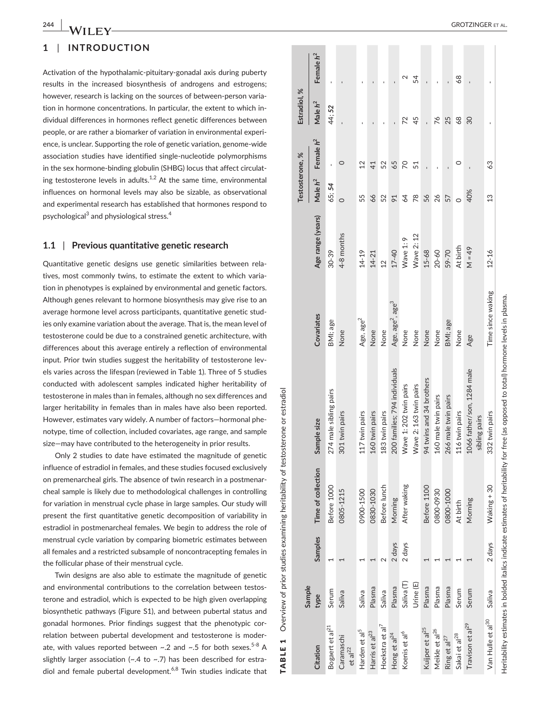# **1** | **INTRODUCTION**

Activation of the hypothalamic-pituitary-gonadal axis during puberty results in the increased biosynthesis of androgens and estrogens; however, research is lacking on the sources of between-person variation in hormone concentrations. In particular, the extent to which individual differences in hormones reflect genetic differences between people, or are rather a biomarker of variation in environmental experience, is unclear. Supporting the role of genetic variation, genome-wide association studies have identified single-nucleotide polymorphisms in the sex hormone-binding globulin (SHBG) locus that affect circulating testosterone levels in adults.<sup>1,2</sup> At the same time, environmental influences on hormonal levels may also be sizable, as observational and experimental research has established that hormones respond to psychological<sup>3</sup> and physiological stress.<sup>4</sup>

# **1.1** | **Previous quantitative genetic research**

Quantitative genetic designs use genetic similarities between relatives, most commonly twins, to estimate the extent to which variation in phenotypes is explained by environmental and genetic factors. Although genes relevant to hormone biosynthesis may give rise to an average hormone level across participants, quantitative genetic studies only examine variation about the average. That is, the mean level of testosterone could be due to a constrained genetic architecture, with differences about this average entirely a reflection of environmental input. Prior twin studies suggest the heritability of testosterone levels varies across the lifespan (reviewed in Table 1). Three of 5 studies conducted with adolescent samples indicated higher heritability of testosterone in males than in females, although no sex differences and larger heritability in females than in males have also been reported. However, estimates vary widely. A number of factors—hormonal phenotype, time of collection, included covariates, age range, and sample size—may have contributed to the heterogeneity in prior results.

Only 2 studies to date have estimated the magnitude of genetic influence of estradiol in females, and these studies focused exclusively on premenarcheal girls. The absence of twin research in a postmenarcheal sample is likely due to methodological challenges in controlling for variation in menstrual cycle phase in large samples. Our study will present the first quantitative genetic decomposition of variability in estradiol in postmenarcheal females. We begin to address the role of menstrual cycle variation by comparing biometric estimates between all females and a restricted subsample of noncontracepting females in the follicular phase of their menstrual cycle.

Twin designs are also able to estimate the magnitude of genetic and environmental contributions to the correlation between testosterone and estradiol, which is expected to be high given overlapping biosynthetic pathways (Figure S1), and between pubertal status and gonadal hormones. Prior findings suggest that the phenotypic correlation between pubertal development and testosterone is moderate, with values reported between  $\sim$ .2 and  $\sim$ .5 for both sexes.<sup>5-8</sup> A slightly larger association ( $\sim$ .4 to  $\sim$ .7) has been described for estradiol and female pubertal development. $6,8$  Twin studies indicate that

|   | ı      |
|---|--------|
|   |        |
|   |        |
|   |        |
|   |        |
|   |        |
|   | י<br>י |
|   |        |
|   |        |
|   |        |
|   |        |
|   |        |
|   |        |
|   |        |
|   |        |
|   |        |
|   |        |
|   |        |
|   |        |
|   |        |
|   |        |
|   |        |
|   |        |
|   |        |
|   |        |
|   |        |
|   |        |
|   |        |
|   |        |
|   |        |
|   |        |
|   |        |
|   |        |
|   |        |
|   |        |
|   |        |
|   |        |
|   |        |
|   |        |
|   | ׇׇ֪֘֝֬ |
|   |        |
|   |        |
|   |        |
|   |        |
|   |        |
|   |        |
|   |        |
|   |        |
|   |        |
|   |        |
|   |        |
|   |        |
|   |        |
|   |        |
|   |        |
|   |        |
|   |        |
|   |        |
|   |        |
|   |        |
|   |        |
|   |        |
|   | l      |
|   |        |
|   |        |
|   |        |
|   | I      |
|   |        |
| l |        |
|   | I      |
| ĺ |        |
|   |        |
|   |        |

|                                   | Sample                |         |                    |                                                                                                                                      |                                          |                   | Testosterone, % |              | Estradiol, % |                |
|-----------------------------------|-----------------------|---------|--------------------|--------------------------------------------------------------------------------------------------------------------------------------|------------------------------------------|-------------------|-----------------|--------------|--------------|----------------|
| Citation                          | type                  | Samples | Time of collection | Sample size                                                                                                                          | Covariates                               | Age range (years) | Male $h^2$      | Female $h^2$ | Male $h^2$   | Female $h^2$   |
| Bogaert et al <sup>21</sup>       | Serum                 |         | Before 1000        | 274 male sibling pairs                                                                                                               | BMI; age                                 | 30-39             | 65; 54          |              | 44;52        | $\blacksquare$ |
| Caramaschi<br>et al <sup>22</sup> | Saliva                |         | 0805-1215          | 301 twin pairs                                                                                                                       | None                                     | 4-8 months        | $\circ$         | 0            |              |                |
| Harden et al <sup>5</sup>         | Saliva                |         | 0900-1500          | 117 twin pairs                                                                                                                       | Age, age <sup>2</sup>                    | $14 - 19$         | 55              | 12           |              |                |
| Harris et al <sup>23</sup>        | Plasma                |         | 0830-1030          | 160 twin pairs                                                                                                                       | None                                     | $14 - 21$         | 66              | 41           |              |                |
| Hoekstra et al <sup>7</sup>       | Saliva                | $\sim$  | Before lunch       | 183 twin pairs                                                                                                                       | None                                     | $\overline{12}$   | 52              | 52           |              |                |
| Hong et al <sup>24</sup>          | Plasma                | 2 days  | Morning            | 200 families; 794 individuals                                                                                                        | Age, age <sup>2</sup> , age <sup>3</sup> | 17-40             | $\overline{5}$  | 65           |              |                |
| Koenis et al <sup>6</sup>         | Saliva <sub>(T)</sub> | 2 days  | After waking       | Wave 1: 202 twin pairs                                                                                                               | None                                     | Wave 1:9          | 64              | 20           | 22           |                |
|                                   | Urine (E)             |         |                    | Wave 2: 163 twin pairs                                                                                                               | None                                     | Wave 2:12         | $\overline{78}$ | 51           | 45           | 54             |
| Kuijper et al <sup>25</sup>       | Plasma                |         | Before 1100        | 94 twins and 34 brothers                                                                                                             | None                                     | $15 - 68$         | 56              |              |              |                |
| Meikle et al <sup>26</sup>        | Plasma                |         | 0800-0930          | 160 male twin pairs                                                                                                                  | None                                     | $20 - 60$         | 26              |              | 76           |                |
| Ring et al <sup>27</sup>          | Plasma                |         | 0800-1000          | 266 male twin pairs                                                                                                                  | BMI; age                                 | 59-70             | 57              |              | 25           |                |
| Sakai et al <sup>28</sup>         | Serum                 |         | At birth           | 116 twin pairs                                                                                                                       | None                                     | At birth          |                 | 0            | 68           | 68             |
| Travison et al <sup>29</sup>      | Serum                 |         | Morning            | 1066 father/son, 1284 male<br>sibling pairs                                                                                          | Age                                      | $49 = M$          | 40%             |              | 30           |                |
| Van Hulle et al <sup>30</sup>     | Saliva                | 2 days  | Waking + 30        | 332 twin pairs                                                                                                                       | Time since waking                        | $12 - 16$         | 13              | 63           |              |                |
|                                   |                       |         |                    | Heritability estimates in bolded italics indicate estimates of heritability for free (as opposed to total) hormone levels in plasma. |                                          |                   |                 |              |              |                |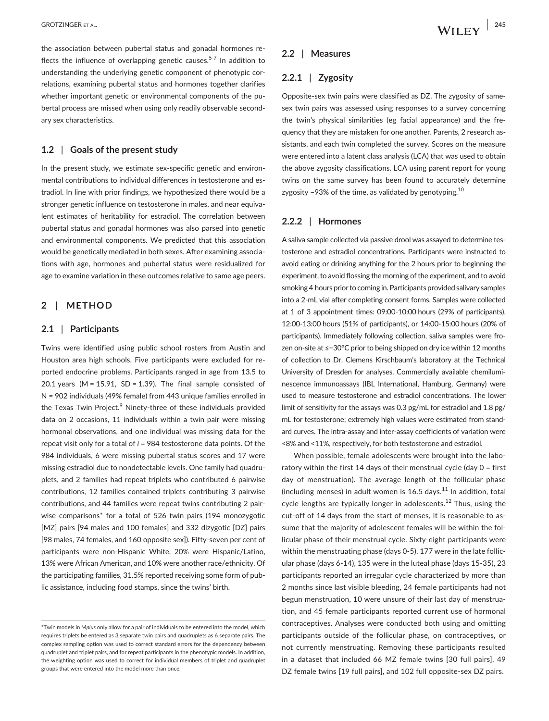the association between pubertal status and gonadal hormones reflects the influence of overlapping genetic causes.<sup>5-7</sup> In addition to understanding the underlying genetic component of phenotypic correlations, examining pubertal status and hormones together clarifies whether important genetic or environmental components of the pubertal process are missed when using only readily observable secondary sex characteristics.

## **1.2** | **Goals of the present study**

In the present study, we estimate sex-specific genetic and environmental contributions to individual differences in testosterone and estradiol. In line with prior findings, we hypothesized there would be a stronger genetic influence on testosterone in males, and near equivalent estimates of heritability for estradiol. The correlation between pubertal status and gonadal hormones was also parsed into genetic and environmental components. We predicted that this association would be genetically mediated in both sexes. After examining associations with age, hormones and pubertal status were residualized for age to examine variation in these outcomes relative to same age peers.

# **2** | **METHOD**

#### **2.1** | **Participants**

Twins were identified using public school rosters from Austin and Houston area high schools. Five participants were excluded for reported endocrine problems. Participants ranged in age from 13.5 to 20.1 years (M =  $15.91$ , SD =  $1.39$ ). The final sample consisted of N = 902 individuals (49% female) from 443 unique families enrolled in the Texas Twin Project.<sup>9</sup> Ninety-three of these individuals provided data on 2 occasions, 11 individuals within a twin pair were missing hormonal observations, and one individual was missing data for the repeat visit only for a total of *i* = 984 testosterone data points. Of the 984 individuals, 6 were missing pubertal status scores and 17 were missing estradiol due to nondetectable levels. One family had quadruplets, and 2 families had repeat triplets who contributed 6 pairwise contributions, 12 families contained triplets contributing 3 pairwise contributions, and 44 families were repeat twins contributing 2 pairwise comparisons\* for a total of 526 twin pairs (194 monozygotic [MZ] pairs [94 males and 100 females] and 332 dizygotic [DZ] pairs [98 males, 74 females, and 160 opposite sex]). Fifty-seven per cent of participants were non-Hispanic White, 20% were Hispanic/Latino, 13% were African American, and 10% were another race/ethnicity. Of the participating families, 31.5% reported receiving some form of public assistance, including food stamps, since the twins' birth.

## **2.2** | **Measures**

## **2.2.1** | **Zygosity**

Opposite-sex twin pairs were classified as DZ. The zygosity of samesex twin pairs was assessed using responses to a survey concerning the twin's physical similarities (eg facial appearance) and the frequency that they are mistaken for one another. Parents, 2 research assistants, and each twin completed the survey. Scores on the measure were entered into a latent class analysis (LCA) that was used to obtain the above zygosity classifications. LCA using parent report for young twins on the same survey has been found to accurately determine zygosity  $\sim$ 93% of the time, as validated by genotyping.<sup>10</sup>

#### **2.2.2** | **Hormones**

A saliva sample collected via passive drool was assayed to determine testosterone and estradiol concentrations. Participants were instructed to avoid eating or drinking anything for the 2 hours prior to beginning the experiment, to avoid flossing the morning of the experiment, and to avoid smoking 4 hours prior to coming in. Participants provided salivary samples into a 2-mL vial after completing consent forms. Samples were collected at 1 of 3 appointment times: 09:00-10:00 hours (29% of participants), 12:00-13:00 hours (51% of participants), or 14:00-15:00 hours (20% of participants). Immediately following collection, saliva samples were frozen on-site at ≤−30°C prior to being shipped on dry ice within 12 months of collection to Dr. Clemens Kirschbaum's laboratory at the Technical University of Dresden for analyses. Commercially available chemiluminescence immunoassays (IBL International, Hamburg, Germany) were used to measure testosterone and estradiol concentrations. The lower limit of sensitivity for the assays was 0.3 pg/mL for estradiol and 1.8 pg/ mL for testosterone; extremely high values were estimated from standard curves. The intra-assay and inter-assay coefficients of variation were <8% and <11%, respectively, for both testosterone and estradiol.

When possible, female adolescents were brought into the laboratory within the first 14 days of their menstrual cycle (day 0 = first day of menstruation). The average length of the follicular phase (including menses) in adult women is  $16.5$  days.<sup>11</sup> In addition, total cycle lengths are typically longer in adolescents.<sup>12</sup> Thus, using the cut-off of 14 days from the start of menses, it is reasonable to assume that the majority of adolescent females will be within the follicular phase of their menstrual cycle. Sixty-eight participants were within the menstruating phase (days 0-5), 177 were in the late follicular phase (days 6-14), 135 were in the luteal phase (days 15-35), 23 participants reported an irregular cycle characterized by more than 2 months since last visible bleeding, 24 female participants had not begun menstruation, 10 were unsure of their last day of menstruation, and 45 female participants reported current use of hormonal contraceptives. Analyses were conducted both using and omitting participants outside of the follicular phase, on contraceptives, or not currently menstruating. Removing these participants resulted in a dataset that included 66 MZ female twins [30 full pairs], 49 DZ female twins [19 full pairs], and 102 full opposite-sex DZ pairs.

<sup>\*</sup>Twin models in M*plus* only allow for a pair of individuals to be entered into the model, which requires triplets be entered as 3 separate twin pairs and quadruplets as 6 separate pairs. The complex sampling option was used to correct standard errors for the dependency between quadruplet and triplet pairs, and for repeat participants in the phenotypic models. In addition, the weighting option was used to correct for individual members of triplet and quadruplet groups that were entered into the model more than once.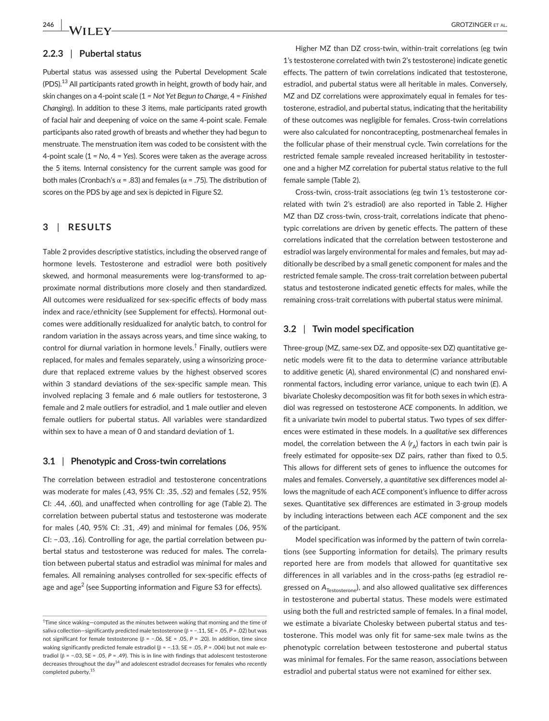#### **2.2.3** | **Pubertal status**

Pubertal status was assessed using the Pubertal Development Scale  $($ PDS $).<sup>13</sup>$  All participants rated growth in height, growth of body hair, and skin changes on a 4-point scale (1 *= Not Yet Begun to Change*, 4 = *Finished Changing*). In addition to these 3 items, male participants rated growth of facial hair and deepening of voice on the same 4-point scale. Female participants also rated growth of breasts and whether they had begun to menstruate. The menstruation item was coded to be consistent with the 4-point scale (1 = *No*, 4 = *Yes*). Scores were taken as the average across the 5 items. Internal consistency for the current sample was good for both males (Cronbach's α = .83) and females ( $α$  = .75). The distribution of scores on the PDS by age and sex is depicted in Figure S2.

## **3** | **RESULTS**

Table 2 provides descriptive statistics, including the observed range of hormone levels. Testosterone and estradiol were both positively skewed, and hormonal measurements were log-transformed to approximate normal distributions more closely and then standardized. All outcomes were residualized for sex-specific effects of body mass index and race/ethnicity (see Supplement for effects). Hormonal outcomes were additionally residualized for analytic batch, to control for random variation in the assays across years, and time since waking, to control for diurnal variation in hormone levels.<sup>†</sup> Finally, outliers were replaced, for males and females separately, using a winsorizing procedure that replaced extreme values by the highest observed scores within 3 standard deviations of the sex-specific sample mean. This involved replacing 3 female and 6 male outliers for testosterone, 3 female and 2 male outliers for estradiol, and 1 male outlier and eleven female outliers for pubertal status. All variables were standardized within sex to have a mean of 0 and standard deviation of 1.

#### **3.1** | **Phenotypic and Cross-twin correlations**

The correlation between estradiol and testosterone concentrations was moderate for males (.43, 95% CI: .35, .52) and females (.52, 95% CI: .44, .60), and unaffected when controlling for age (Table 2). The correlation between pubertal status and testosterone was moderate for males (.40, 95% CI: .31, .49) and minimal for females (.06, 95% CI: −.03, .16). Controlling for age, the partial correlation between pubertal status and testosterone was reduced for males. The correlation between pubertal status and estradiol was minimal for males and females. All remaining analyses controlled for sex-specific effects of age and age<sup>2</sup> (see Supporting information and Figure S3 for effects).

Higher MZ than DZ cross-twin, within-trait correlations (eg twin 1's testosterone correlated with twin 2's testosterone) indicate genetic effects. The pattern of twin correlations indicated that testosterone, estradiol, and pubertal status were all heritable in males. Conversely, MZ and DZ correlations were approximately equal in females for testosterone, estradiol, and pubertal status, indicating that the heritability of these outcomes was negligible for females. Cross-twin correlations were also calculated for noncontracepting, postmenarcheal females in the follicular phase of their menstrual cycle. Twin correlations for the restricted female sample revealed increased heritability in testosterone and a higher MZ correlation for pubertal status relative to the full female sample (Table 2).

Cross-twin, cross-trait associations (eg twin 1's testosterone correlated with twin 2's estradiol) are also reported in Table 2. Higher MZ than DZ cross-twin, cross-trait, correlations indicate that phenotypic correlations are driven by genetic effects. The pattern of these correlations indicated that the correlation between testosterone and estradiol was largely environmental for males and females, but may additionally be described by a small genetic component for males and the restricted female sample. The cross-trait correlation between pubertal status and testosterone indicated genetic effects for males, while the remaining cross-trait correlations with pubertal status were minimal.

#### **3.2** | **Twin model specification**

Three-group (MZ, same-sex DZ, and opposite-sex DZ) quantitative genetic models were fit to the data to determine variance attributable to additive genetic (*A*), shared environmental (*C*) and nonshared environmental factors, including error variance, unique to each twin (*E*). A bivariate Cholesky decomposition was fit for both sexes in which estradiol was regressed on testosterone *ACE* components. In addition, we fit a univariate twin model to pubertal status. Two types of sex differences were estimated in these models. In a *qualitative* sex differences model, the correlation between the  $A$  ( $r_A$ ) factors in each twin pair is freely estimated for opposite-sex DZ pairs, rather than fixed to 0.5. This allows for different sets of genes to influence the outcomes for males and females. Conversely, a *quantitative* sex differences model allows the magnitude of each *ACE* component's influence to differ across sexes. Quantitative sex differences are estimated in 3-group models by including interactions between each *ACE* component and the sex of the participant.

Model specification was informed by the pattern of twin correlations (see Supporting information for details). The primary results reported here are from models that allowed for quantitative sex differences in all variables and in the cross-paths (eg estradiol regressed on A<sub>Testosterone</sub>), and also allowed qualitative sex differences in testosterone and pubertal status. These models were estimated using both the full and restricted sample of females. In a final model, we estimate a bivariate Cholesky between pubertal status and testosterone. This model was only fit for same-sex male twins as the phenotypic correlation between testosterone and pubertal status was minimal for females. For the same reason, associations between estradiol and pubertal status were not examined for either sex.

<sup>†</sup> Time since waking—computed as the minutes between waking that morning and the time of saliva collection—significantly predicted male testosterone (β = −.11, SE = .05, *P* = .02) but was not significant for female testosterone (β = −.06, SE = .05, *P* = .20). In addition, time since waking significantly predicted female estradiol (β = −.13, SE = .05, *P* = .004) but not male estradiol (β = −.03, SE = .05, *P* = .49). This is in line with findings that adolescent testosterone decreases throughout the day<sup>14</sup> and adolescent estradiol decreases for females who recently completed puberty.<sup>15</sup>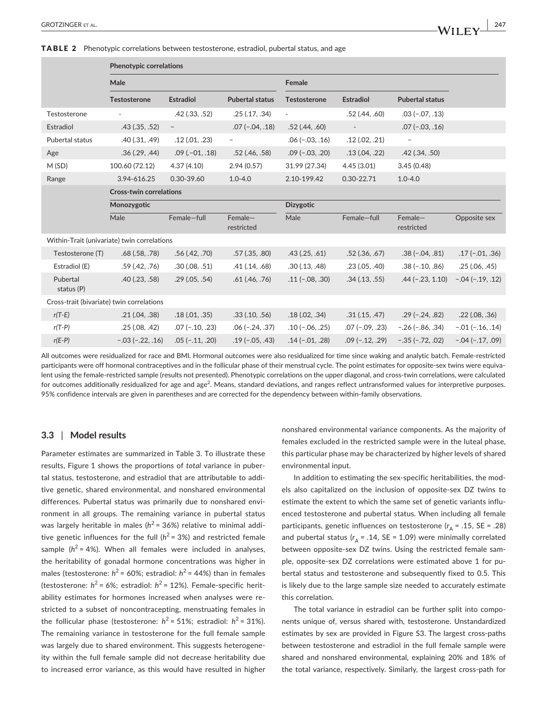TABLE 2 Phenotypic correlations between testosterone, estradiol, pubertal status, and age

|                                             | <b>Phenotypic correlations</b> |                      |                        |                          |                    |                          |                    |
|---------------------------------------------|--------------------------------|----------------------|------------------------|--------------------------|--------------------|--------------------------|--------------------|
|                                             | Male                           | Female               |                        |                          |                    |                          |                    |
|                                             | <b>Testosterone</b>            | <b>Estradiol</b>     | <b>Pubertal status</b> | <b>Testosterone</b>      | <b>Estradiol</b>   | <b>Pubertal status</b>   |                    |
| Testosterone                                | $\qquad \qquad \blacksquare$   | $.42$ $(.33, .52)$   | .25(.17, .34)          | $\overline{\phantom{a}}$ | $.52$ (.44, .60)   | $.03 (-.07, .13)$        |                    |
| Estradiol                                   | $.43$ $(.35, .52)$             | $-$                  | $.07(-.04, .18)$       | $.52$ (.44, .60)         | $\sim$             | $.07 (-.03, .16)$        |                    |
| Pubertal status                             | .40(.31, .49)                  | .12(.01,.23)         |                        | $.06 (-.03, .16)$        | .12(.02,.21)       | $\overline{\phantom{a}}$ |                    |
| Age                                         | .36(.29, .44)                  | $.09$ ( $.01, .18$ ) | $.52$ (.46, $.58$ )    | $.09(-.03, .20)$         | .13(.04,.22)       | $.42$ $(.34, .50)$       |                    |
| M (SD)                                      | 100.60 (72.12)                 | 4.37(4.10)           | 2.94(0.57)             | 31.99 (27.34)            | 4.45(3.01)         | 3.45(0.48)               |                    |
| Range                                       | 3.94-616.25                    | 0.30-39.60           | $1.0 - 4.0$            | 2.10-199.42              | 0.30-22.71         | $1.0 - 4.0$              |                    |
|                                             | <b>Cross-twin correlations</b> |                      |                        |                          |                    |                          |                    |
|                                             | Monozygotic                    |                      |                        | <b>Dizygotic</b>         |                    |                          |                    |
|                                             | Male                           | Female-full          | Female-<br>restricted  | Male                     | Female-full        | Female-<br>restricted    | Opposite sex       |
| Within-Trait (univariate) twin correlations |                                |                      |                        |                          |                    |                          |                    |
| Testosterone (T)                            | $.68$ $(.58, .78)$             | .56(.42, .70)        | $.57$ $(.35, .80)$     | $.43$ $(.25, .61)$       | $.52$ $(.36, .67)$ | $.38(-.04, .81)$         | $.17(-.01, .36)$   |
| Estradiol (E)                               | $.59$ $(.42, .76)$             | .30(.08, .51)        | .41(.14,.68)           | .30(.13, .48)            | .23(.05,.40)       | $.38(-.10, .86)$         | .25(.06,.45)       |
| Pubertal<br>status (P)                      | $.40$ $(.23, .58)$             | .29(.05,.54)         | $.61$ $(.46, .76)$     | $.11(-.08, .30)$         | $.34$ $(.13, .55)$ | $.44$ (-.23, 1.10)       | $-.04 (-.19, .12)$ |
| Cross-trait (bivariate) twin correlations   |                                |                      |                        |                          |                    |                          |                    |
| $r(T-E)$                                    | .21(.04,.38)                   | .18(.01, .35)        | $.33$ $(.10, .56)$     | .18(.02, .34)            | .31(.15,.47)       | $.29(-.24, .82)$         | $.22$ (.08, .36)   |
| $r(T-P)$                                    | .25(.08, .42)                  | $.07(-.10, .23)$     | $.06 (-.24, .37)$      | $.10(-.06, .25)$         | $.07(-.09, .23)$   | $-.26 (-.86, .34)$       | $-.01 (-.16, .14)$ |
| $r(E-P)$                                    | $-.03 (-.22, .16)$             | $.05(-.11, .20)$     | $.19(-.05, .43)$       | $.14(-.01, .28)$         | $.09(-.12, .29)$   | $-.35(-.72, .02)$        | $-.04 (-.17, .09)$ |

All outcomes were residualized for race and BMI. Hormonal outcomes were also residualized for time since waking and analytic batch. Female-restricted participants were off hormonal contraceptives and in the follicular phase of their menstrual cycle. The point estimates for opposite-sex twins were equivalent using the female-restricted sample (results not presented). Phenotypic correlations on the upper diagonal, and cross-twin correlations, were calculated for outcomes additionally residualized for age and age<sup>2</sup>. Means, standard deviations, and ranges reflect untransformed values for interpretive purposes. 95% confidence intervals are given in parentheses and are corrected for the dependency between within-family observations.

## **3.3** | **Model results**

Parameter estimates are summarized in Table 3. To illustrate these results, Figure 1 shows the proportions of *total* variance in pubertal status, testosterone, and estradiol that are attributable to additive genetic, shared environmental, and nonshared environmental differences. Pubertal status was primarily due to nonshared environment in all groups. The remaining variance in pubertal status was largely heritable in males ( $h^2$  = 36%) relative to minimal additive genetic influences for the full  $(h^2 = 3\%)$  and restricted female sample ( $h^2$  = 4%). When all females were included in analyses, the heritability of gonadal hormone concentrations was higher in males (testosterone:  $h^2$  = 60%; estradiol:  $h^2$  = 44%) than in females (testosterone:  $h^2$  = 6%; estradiol:  $h^2$  = 12%). Female-specific heritability estimates for hormones increased when analyses were restricted to a subset of noncontracepting, menstruating females in the follicular phase (testosterone:  $h^2 = 51\%$ ; estradiol:  $h^2 = 31\%$ ). The remaining variance in testosterone for the full female sample was largely due to shared environment. This suggests heterogeneity within the full female sample did not decrease heritability due to increased error variance, as this would have resulted in higher nonshared environmental variance components. As the majority of females excluded in the restricted sample were in the luteal phase, this particular phase may be characterized by higher levels of shared environmental input.

In addition to estimating the sex-specific heritabilities, the models also capitalized on the inclusion of opposite-sex DZ twins to estimate the extent to which the same set of genetic variants influenced testosterone and pubertal status. When including all female participants, genetic influences on testosterone ( $r_A$  = .15, SE = .28) and pubertal status  $(r_A = .14, SE = 1.09)$  were minimally correlated between opposite-sex DZ twins. Using the restricted female sample, opposite-sex DZ correlations were estimated above 1 for pubertal status and testosterone and subsequently fixed to 0.5. This is likely due to the large sample size needed to accurately estimate this correlation.

The total variance in estradiol can be further split into components unique of, versus shared with, testosterone. Unstandardized estimates by sex are provided in Figure S3. The largest cross-paths between testosterone and estradiol in the full female sample were shared and nonshared environmental, explaining 20% and 18% of the total variance, respectively. Similarly, the largest cross-path for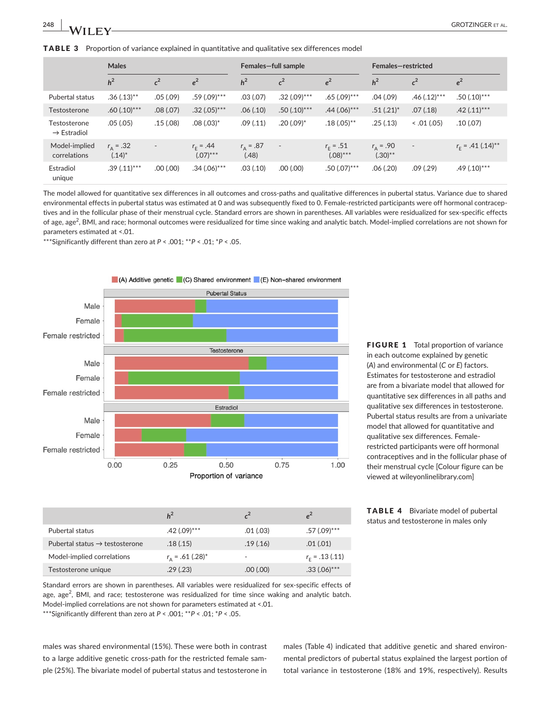**TABLE 3** Proportion of variance explained in quantitative and qualitative sex differences model

| Testosterone<br>$\rightarrow$ Estradiol | .05(.05)                   | .15(.08)                 | $.08(.03)*$                  | .09(.11)               | $.20(.09)$ <sup>*</sup>  | $.18(.05)$ **                    | .25 (.13)                   | < .01 (.05)              | .10(0.07)                 |
|-----------------------------------------|----------------------------|--------------------------|------------------------------|------------------------|--------------------------|----------------------------------|-----------------------------|--------------------------|---------------------------|
| Model-implied<br>correlations           | $r_{0} = .32$<br>$(.14)^*$ | $\overline{\phantom{a}}$ | $r_{r} = .44$<br>$(.07)$ *** | $r_{0} = .87$<br>(.48) | $\overline{\phantom{a}}$ | $r_{\rm r} = .51$<br>$(.08)$ *** | $r_{0} = .90$<br>$(.30)$ ** | $\overline{\phantom{a}}$ | $r_{\rm c}$ = .41 (.14)** |
| Estradiol<br>unique                     | $.39(.11)***$              | .00(.00)                 | $.34(.06)$ ***               | .03(.10)               | (00.100)                 | $.50(.07)$ ***                   | .06 (.20)                   | .09(0.29)                | $.49(.10)$ ***            |

The model allowed for quantitative sex differences in all outcomes and cross-paths and qualitative differences in pubertal status. Variance due to shared environmental effects in pubertal status was estimated at 0 and was subsequently fixed to 0. Female-restricted participants were off hormonal contraceptives and in the follicular phase of their menstrual cycle. Standard errors are shown in parentheses. All variables were residualized for sex-specific effects of age, age<sup>2</sup>, BMI, and race; hormonal outcomes were residualized for time since waking and analytic batch. Model-implied correlations are not shown for parameters estimated at <.01.

\*\*\*Significantly different than zero at *P* < .001; \*\**P* < .01; \**P* < .05.



FIGURE 1 Total proportion of variance in each outcome explained by genetic (*A*) and environmental (*C* or *E*) factors. Estimates for testosterone and estradiol are from a bivariate model that allowed for quantitative sex differences in all paths and qualitative sex differences in testosterone. Pubertal status results are from a univariate model that allowed for quantitative and qualitative sex differences. Femalerestricted participants were off hormonal contraceptives and in the follicular phase of their menstrual cycle [Colour figure can be viewed at [wileyonlinelibrary.com\]](www.wileyonlinelibrary.com)

| <b>TABLE 4</b> | Bivariate model of pubertal           |
|----------------|---------------------------------------|
|                | status and testosterone in males only |

|                                                                                                       | Model-implied correlations                                                                            | $r_{\rm A}$ = .61 (.28) <sup>*</sup> | -        | $r_{\rm c}$ = .13 (.11) |  |  |  |  |  |
|-------------------------------------------------------------------------------------------------------|-------------------------------------------------------------------------------------------------------|--------------------------------------|----------|-------------------------|--|--|--|--|--|
|                                                                                                       | Testosterone unique                                                                                   | .29(0.23)                            | .00(.00) | $.33(.06)$ ***          |  |  |  |  |  |
| Standard errors are shown in parentheses. All variables were residualized for sex-specific effects of |                                                                                                       |                                      |          |                         |  |  |  |  |  |
|                                                                                                       | age, $age^2$ , BMI, and race; testosterone was residualized for time since waking and analytic batch. |                                      |          |                         |  |  |  |  |  |

Pubertal status .42 (.09)\*\*\* .01 (.03) .57 (.09)\*\*\* Pubertal status → testosterone  $.18(.15)$  .19 (.16) .01 (.01)

 $h^2$  *c***<sup>2</sup> <b>***e***<sup>2</sup>** 

Model-implied correlations are not shown for parameters estimated at <.01.

\*\*\*Significantly different than zero at *P* < .001; \*\**P* < .01; \**P* < .05.

males was shared environmental (15%). These were both in contrast to a large additive genetic cross-path for the restricted female sample (25%). The bivariate model of pubertal status and testosterone in males (Table 4) indicated that additive genetic and shared environmental predictors of pubertal status explained the largest portion of total variance in testosterone (18% and 19%, respectively). Results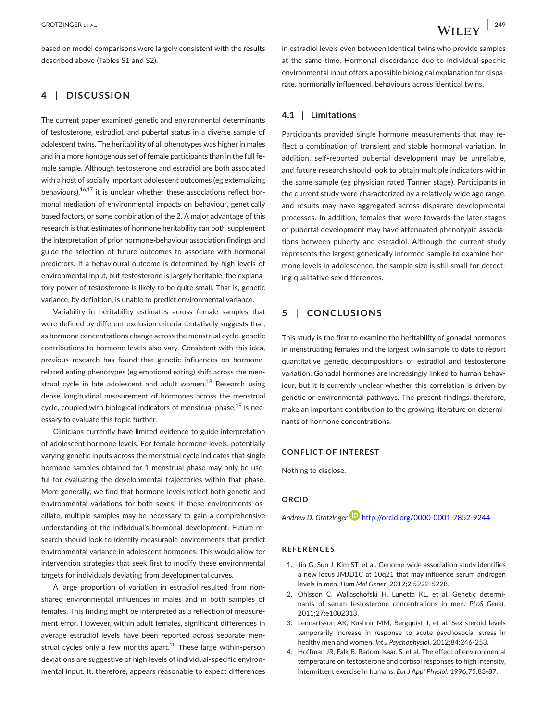based on model comparisons were largely consistent with the results described above (Tables S1 and S2).

## **4** | **DISCUSSION**

The current paper examined genetic and environmental determinants of testosterone, estradiol, and pubertal status in a diverse sample of adolescent twins. The heritability of all phenotypes was higher in males and in a more homogenous set of female participants than in the full female sample. Although testosterone and estradiol are both associated with a host of socially important adolescent outcomes (eg externalizing behaviours), $16,17$  it is unclear whether these associations reflect hormonal mediation of environmental impacts on behaviour, genetically based factors, or some combination of the 2. A major advantage of this research is that estimates of hormone heritability can both supplement the interpretation of prior hormone-behaviour association findings and guide the selection of future outcomes to associate with hormonal predictors. If a behavioural outcome is determined by high levels of environmental input, but testosterone is largely heritable, the explanatory power of testosterone is likely to be quite small. That is, genetic variance, by definition, is unable to predict environmental variance.

Variability in heritability estimates across female samples that were defined by different exclusion criteria tentatively suggests that, as hormone concentrations change across the menstrual cycle, genetic contributions to hormone levels also vary. Consistent with this idea, previous research has found that genetic influences on hormonerelated eating phenotypes (eg emotional eating) shift across the menstrual cycle in late adolescent and adult women.<sup>18</sup> Research using dense longitudinal measurement of hormones across the menstrual cycle, coupled with biological indicators of menstrual phase,  $19$  is necessary to evaluate this topic further.

Clinicians currently have limited evidence to guide interpretation of adolescent hormone levels. For female hormone levels, potentially varying genetic inputs across the menstrual cycle indicates that single hormone samples obtained for 1 menstrual phase may only be useful for evaluating the developmental trajectories within that phase. More generally, we find that hormone levels reflect both genetic and environmental variations for both sexes. If these environments oscillate, multiple samples may be necessary to gain a comprehensive understanding of the individual's hormonal development. Future research should look to identify measurable environments that predict environmental variance in adolescent hormones. This would allow for intervention strategies that seek first to modify these environmental targets for individuals deviating from developmental curves.

A large proportion of variation in estradiol resulted from nonshared environmental influences in males and in both samples of females. This finding might be interpreted as a reflection of measurement error. However, within adult females, significant differences in average estradiol levels have been reported across separate menstrual cycles only a few months apart.<sup>20</sup> These large within-person deviations are suggestive of high levels of individual-specific environmental input. It, therefore, appears reasonable to expect differences

in estradiol levels even between identical twins who provide samples at the same time. Hormonal discordance due to individual-specific environmental input offers a possible biological explanation for disparate, hormonally influenced, behaviours across identical twins.

## **4.1** | **Limitations**

Participants provided single hormone measurements that may reflect a combination of transient and stable hormonal variation. In addition, self-reported pubertal development may be unreliable, and future research should look to obtain multiple indicators within the same sample (eg physician rated Tanner stage). Participants in the current study were characterized by a relatively wide age range, and results may have aggregated across disparate developmental processes. In addition, females that were towards the later stages of pubertal development may have attenuated phenotypic associations between puberty and estradiol. Although the current study represents the largest genetically informed sample to examine hormone levels in adolescence, the sample size is still small for detecting qualitative sex differences.

# **5** | **CONCLUSIONS**

This study is the first to examine the heritability of gonadal hormones in menstruating females and the largest twin sample to date to report quantitative genetic decompositions of estradiol and testosterone variation. Gonadal hormones are increasingly linked to human behaviour, but it is currently unclear whether this correlation is driven by genetic or environmental pathways. The present findings, therefore, make an important contribution to the growing literature on determinants of hormone concentrations.

## **CONFLICT OF INTEREST**

Nothing to disclose.

#### **ORCID**

*Andrew D. Grotzinge[r](http://orcid.org/0000-0001-7852-9244)* <http://orcid.org/0000-0001-7852-9244>

#### **REFERENCES**

- 1. Jin G, Sun J, Kim ST, et al. Genome-wide association study identifies a new locus JMJD1C at 10q21 that may influence serum androgen levels in men. *Hum Mol Genet*. 2012;2:5222‐5228.
- 2. Ohlsson C, Wallaschofski H, Lunetta KL, et al. Genetic determinants of serum testosterone concentrations in men. *PLoS Genet*. 2011;27:e1002313.
- 3. Lennartsson AK, Kushnir MM, Bergquist J, et al. Sex steroid levels temporarily increase in response to acute psychosocial stress in healthy men and women. *Int J Psychophysiol*. 2012;84:246‐253.
- 4. Hoffman JR, Falk B, Radom-Isaac S, et al. The effect of environmental temperature on testosterone and cortisol responses to high intensity, intermittent exercise in humans. *Eur J Appl Physiol*. 1996;75:83‐87.